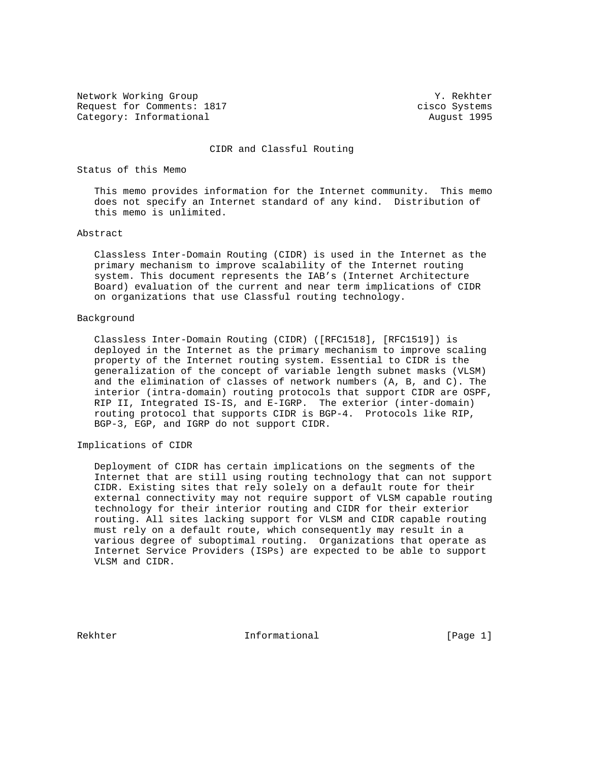Network Working Group 30 and 1999 and 1999 and 1999 and 1999 and 1999 and 1999 and 1999 and 1999 and 1999 and 1 Request for Comments: 1817 cisco Systems Category: Informational and August 1995

## CIDR and Classful Routing

Status of this Memo

 This memo provides information for the Internet community. This memo does not specify an Internet standard of any kind. Distribution of this memo is unlimited.

## Abstract

 Classless Inter-Domain Routing (CIDR) is used in the Internet as the primary mechanism to improve scalability of the Internet routing system. This document represents the IAB's (Internet Architecture Board) evaluation of the current and near term implications of CIDR on organizations that use Classful routing technology.

## Background

 Classless Inter-Domain Routing (CIDR) ([RFC1518], [RFC1519]) is deployed in the Internet as the primary mechanism to improve scaling property of the Internet routing system. Essential to CIDR is the generalization of the concept of variable length subnet masks (VLSM) and the elimination of classes of network numbers (A, B, and C). The interior (intra-domain) routing protocols that support CIDR are OSPF, RIP II, Integrated IS-IS, and E-IGRP. The exterior (inter-domain) routing protocol that supports CIDR is BGP-4. Protocols like RIP, BGP-3, EGP, and IGRP do not support CIDR.

## Implications of CIDR

 Deployment of CIDR has certain implications on the segments of the Internet that are still using routing technology that can not support CIDR. Existing sites that rely solely on a default route for their external connectivity may not require support of VLSM capable routing technology for their interior routing and CIDR for their exterior routing. All sites lacking support for VLSM and CIDR capable routing must rely on a default route, which consequently may result in a various degree of suboptimal routing. Organizations that operate as Internet Service Providers (ISPs) are expected to be able to support VLSM and CIDR.

Rekhter 11 Informational [Page 1]